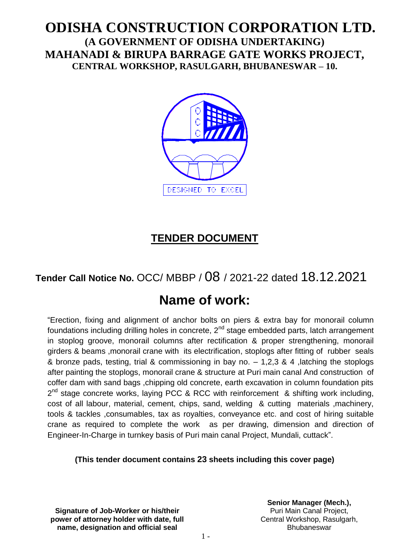# **ODISHA CONSTRUCTION CORPORATION LTD. (A GOVERNMENT OF ODISHA UNDERTAKING) MAHANADI & BIRUPA BARRAGE GATE WORKS PROJECT, CENTRAL WORKSHOP, RASULGARH, BHUBANESWAR – 10.**



# **TENDER DOCUMENT**

# **Tender Call Notice No.** OCC/ MBBP / 08 / 2021-22 dated 18.12.2021

# **Name of work:**

"Erection, fixing and alignment of anchor bolts on piers & extra bay for monorail column foundations including drilling holes in concrete,  $2<sup>nd</sup>$  stage embedded parts, latch arrangement in stoplog groove, monorail columns after rectification & proper strengthening, monorail girders & beams ,monorail crane with its electrification, stoplogs after fitting of rubber seals & bronze pads, testing, trial & commissioning in bay no. – 1,2,3 & 4 ,latching the stoplogs after painting the stoplogs, monorail crane & structure at Puri main canal And construction of coffer dam with sand bags ,chipping old concrete, earth excavation in column foundation pits 2<sup>nd</sup> stage concrete works, laying PCC & RCC with reinforcement & shifting work including, cost of all labour, material, cement, chips, sand, welding & cutting materials ,machinery, tools & tackles ,consumables, tax as royalties, conveyance etc. and cost of hiring suitable crane as required to complete the work as per drawing, dimension and direction of Engineer-In-Charge in turnkey basis of Puri main canal Project, Mundali, cuttack".

## **(This tender document contains 23 sheets including this cover page)**

**Signature of Job-Worker or his/their power of attorney holder with date, full name, designation and official seal**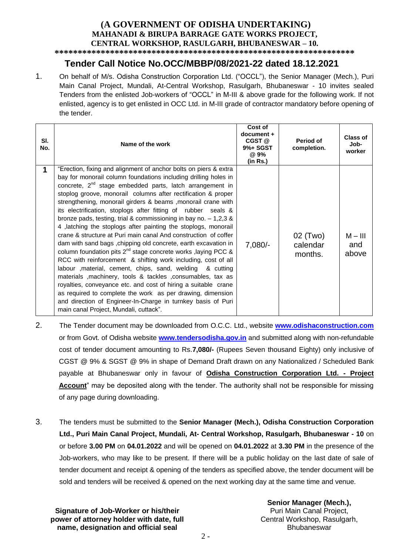#### **(A GOVERNMENT OF ODISHA UNDERTAKING) MAHANADI & BIRUPA BARRAGE GATE WORKS PROJECT, CENTRAL WORKSHOP, RASULGARH, BHUBANESWAR – 10.**

**\*\*\*\*\*\*\*\*\*\*\*\*\*\*\*\*\*\*\*\*\*\*\*\*\*\*\*\*\*\*\*\*\*\*\*\*\*\*\*\*\*\*\*\*\*\*\*\*\*\*\*\*\*\*\*\*\*\*\*\*\*\*\*\*\***

# **Tender Call Notice No.OCC/MBBP/08/2021-22 dated 18.12.2021**

1. On behalf of M/s. Odisha Construction Corporation Ltd. ("OCCL"), the Senior Manager (Mech.), Puri Main Canal Project, Mundali, At-Central Workshop, Rasulgarh, Bhubaneswar - 10 invites sealed Tenders from the enlisted Job-workers of "OCCL" in M-III & above grade for the following work. If not enlisted, agency is to get enlisted in OCC Ltd. in M-III grade of contractor mandatory before opening of the tender.

| SI.<br>No. | Name of the work                                                                                                                                                                                                                                                                                                                                                                                                                                                                                                                                                                                                                                                                                                                                                                                                                                                                                                                                                                                                                                                                                                                                                                                           | Cost of<br>document+<br>CGST @<br>9%+ SGST<br>@ 9%<br>(in Rs.) | Period of<br>completion.        | <b>Class of</b><br>Job-<br>worker |
|------------|------------------------------------------------------------------------------------------------------------------------------------------------------------------------------------------------------------------------------------------------------------------------------------------------------------------------------------------------------------------------------------------------------------------------------------------------------------------------------------------------------------------------------------------------------------------------------------------------------------------------------------------------------------------------------------------------------------------------------------------------------------------------------------------------------------------------------------------------------------------------------------------------------------------------------------------------------------------------------------------------------------------------------------------------------------------------------------------------------------------------------------------------------------------------------------------------------------|----------------------------------------------------------------|---------------------------------|-----------------------------------|
| 1          | "Erection, fixing and alignment of anchor bolts on piers & extra<br>bay for monorail column foundations including drilling holes in<br>concrete, 2 <sup>nd</sup> stage embedded parts, latch arrangement in<br>stoplog groove, monorail columns after rectification & proper<br>strengthening, monorail girders & beams, monorail crane with<br>its electrification, stoplogs after fitting of rubber seals &<br>bronze pads, testing, trial & commissioning in bay no. $-1,2,3,8$<br>4, latching the stoplogs after painting the stoplogs, monorail<br>crane & structure at Puri main canal And construction of coffer<br>dam with sand bags, chipping old concrete, earth excavation in<br>column foundation pits $2^{nd}$ stage concrete works, laying PCC &<br>RCC with reinforcement & shifting work including, cost of all<br>labour , material, cement, chips, sand, welding<br>& cuttina<br>materials , machinery, tools & tackles , consumables, tax as<br>royalties, conveyance etc. and cost of hiring a suitable crane<br>as required to complete the work as per drawing, dimension<br>and direction of Engineer-In-Charge in turnkey basis of Puri<br>main canal Project, Mundali, cuttack". | $7,080/-$                                                      | 02 (Two)<br>calendar<br>months. | $M - III$<br>and<br>above         |

- 2. The Tender document may be downloaded from O.C.C. Ltd., website **[www.odishaconstruction.com](http://www.odishaconstruction.com/)** or from Govt. of Odisha website **www.tendersodisha.gov.in** and submitted along with non-refundable cost of tender document amounting to Rs.**7,080/-** (Rupees Seven thousand Eighty) only inclusive of CGST @ 9% & SGST @ 9% in shape of Demand Draft drawn on any Nationalized / Scheduled Bank payable at Bhubaneswar only in favour of **Odisha Construction Corporation Ltd. - Project Account**" may be deposited along with the tender. The authority shall not be responsible for missing of any page during downloading.
- 3. The tenders must be submitted to the **Senior Manager (Mech.), Odisha Construction Corporation Ltd., Puri Main Canal Project, Mundali, At- Central Workshop, Rasulgarh, Bhubaneswar - 10** on or before **3.00 PM** on **04.01.2022** and will be opened on **04.01.2022** at **3.30 PM** in the presence of the Job-workers, who may like to be present. If there will be a public holiday on the last date of sale of tender document and receipt & opening of the tenders as specified above, the tender document will be sold and tenders will be received & opened on the next working day at the same time and venue.

**Signature of Job-Worker or his/their power of attorney holder with date, full name, designation and official seal**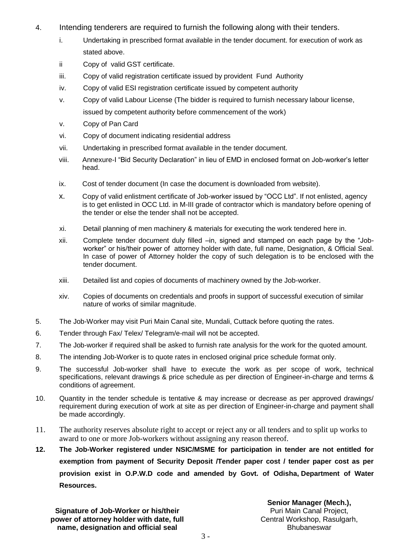- 4. Intending tenderers are required to furnish the following along with their tenders.
	- i. Undertaking in prescribed format available in the tender document. for execution of work as stated above.
	- ii Copy of valid GST certificate.
	- iii. Copy of valid registration certificate issued by provident Fund Authority
	- iv. Copy of valid ESI registration certificate issued by competent authority
	- v. Copy of valid Labour License (The bidder is required to furnish necessary labour license, issued by competent authority before commencement of the work)
	- v. Copy of Pan Card
	- vi. Copy of document indicating residential address
	- vii. Undertaking in prescribed format available in the tender document.
	- viii. Annexure-I "Bid Security Declaration" in lieu of EMD in enclosed format on Job-worker's letter head.
	- ix. Cost of tender document (In case the document is downloaded from website).
	- x. Copy of valid enlistment certificate of Job-worker issued by "OCC Ltd". If not enlisted, agency is to get enlisted in OCC Ltd. in M-III grade of contractor which is mandatory before opening of the tender or else the tender shall not be accepted.
	- xi. Detail planning of men machinery & materials for executing the work tendered here in.
	- xii. Complete tender document duly filled –in, signed and stamped on each page by the "Jobworker" or his/their power of attorney holder with date, full name, Designation, & Official Seal. In case of power of Attorney holder the copy of such delegation is to be enclosed with the tender document.
	- xiii. Detailed list and copies of documents of machinery owned by the Job-worker.
	- xiv. Copies of documents on credentials and proofs in support of successful execution of similar nature of works of similar magnitude.
- 5. The Job-Worker may visit Puri Main Canal site, Mundali, Cuttack before quoting the rates.
- 6. Tender through Fax/ Telex/ Telegram/e-mail will not be accepted.
- 7. The Job-worker if required shall be asked to furnish rate analysis for the work for the quoted amount.
- 8. The intending Job-Worker is to quote rates in enclosed original price schedule format only.
- 9. The successful Job-worker shall have to execute the work as per scope of work, technical specifications, relevant drawings & price schedule as per direction of Engineer-in-charge and terms & conditions of agreement.
- 10. Quantity in the tender schedule is tentative & may increase or decrease as per approved drawings/ requirement during execution of work at site as per direction of Engineer-in-charge and payment shall be made accordingly.
- 11. The authority reserves absolute right to accept or reject any or all tenders and to split up works to award to one or more Job-workers without assigning any reason thereof.
- **12. The Job-Worker registered under NSIC/MSME for participation in tender are not entitled for**  exemption from payment of Security Deposit /Tender paper cost / tender paper cost as per **provision exist in O.P.W.D code and amended by Govt. of Odisha, Department of Water Resources.**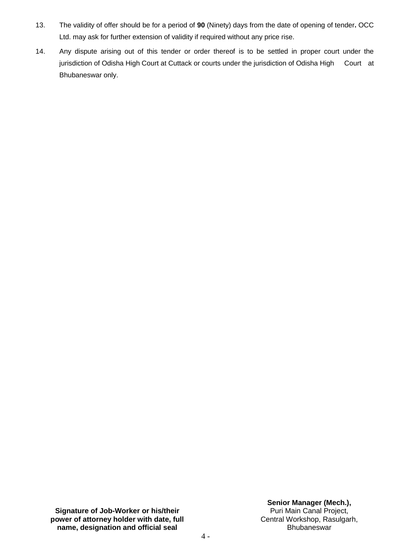- 13. The validity of offer should be for a period of **90** (Ninety) days from the date of opening of tender**.** OCC Ltd. may ask for further extension of validity if required without any price rise.
- 14. Any dispute arising out of this tender or order thereof is to be settled in proper court under the jurisdiction of Odisha High Court at Cuttack or courts under the jurisdiction of Odisha High Court at Bhubaneswar only.

**Signature of Job-Worker or his/their power of attorney holder with date, full name, designation and official seal**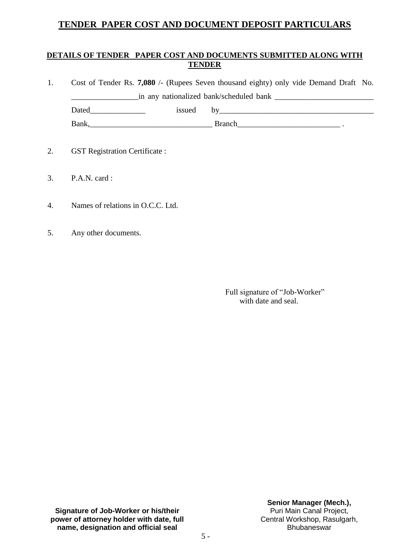## **TENDER PAPER COST AND DOCUMENT DEPOSIT PARTICULARS**

## **DETAILS OF TENDER PAPER COST AND DOCUMENTS SUBMITTED ALONG WITH TENDER**

- 1. Cost of Tender Rs. **7,080** /- (Rupees Seven thousand eighty) only vide Demand Draft No. \_\_\_\_\_\_\_\_\_\_\_\_\_\_\_\_\_in any nationalized bank/scheduled bank \_\_\_\_\_\_\_\_\_\_\_\_\_\_\_\_\_\_\_\_\_\_\_\_\_ Dated by issued by  $Bank,$   $Bank,$   $\qquad \qquad$   $\qquad \qquad$   $\qquad \qquad$   $\qquad \qquad$   $\qquad \qquad$   $\qquad \qquad$   $\qquad \qquad$   $\qquad \qquad$   $\qquad \qquad$   $\qquad \qquad$   $\qquad \qquad$   $\qquad \qquad$   $\qquad \qquad$   $\qquad \qquad$   $\qquad \qquad$   $\qquad \qquad$   $\qquad \qquad$   $\qquad \qquad$   $\qquad \qquad$   $\qquad$   $\qquad \qquad$   $\qquad \qquad$   $\qquad \qquad$   $\qquad \q$
- 2. GST Registration Certificate :
- 3. P.A.N. card :
- 4. Names of relations in O.C.C. Ltd.
- 5. Any other documents.

 Full signature of "Job-Worker" with date and seal.

**Signature of Job-Worker or his/their power of attorney holder with date, full name, designation and official seal**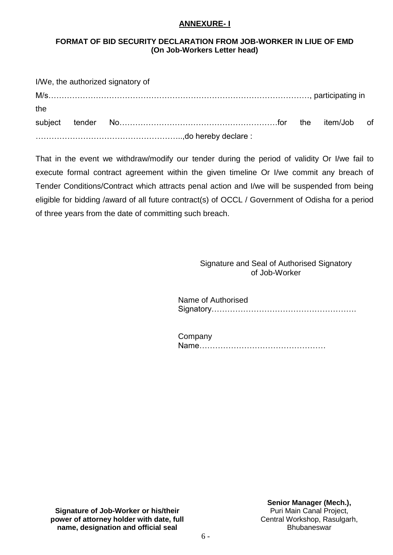#### **ANNEXURE- I**

#### **FORMAT OF BID SECURITY DECLARATION FROM JOB-WORKER IN LIUE OF EMD (On Job-Workers Letter head)**

|     | I/We, the authorized signatory of |  |  |
|-----|-----------------------------------|--|--|
|     |                                   |  |  |
| the |                                   |  |  |
|     |                                   |  |  |
|     |                                   |  |  |

That in the event we withdraw/modify our tender during the period of validity Or I/we fail to execute formal contract agreement within the given timeline Or I/we commit any breach of Tender Conditions/Contract which attracts penal action and I/we will be suspended from being eligible for bidding /award of all future contract(s) of OCCL / Government of Odisha for a period of three years from the date of committing such breach.

> Signature and Seal of Authorised Signatory of Job-Worker

 Name of Authorised Signatory……………………………………………….

**Company** Name…………………………………………

**Signature of Job-Worker or his/their power of attorney holder with date, full name, designation and official seal**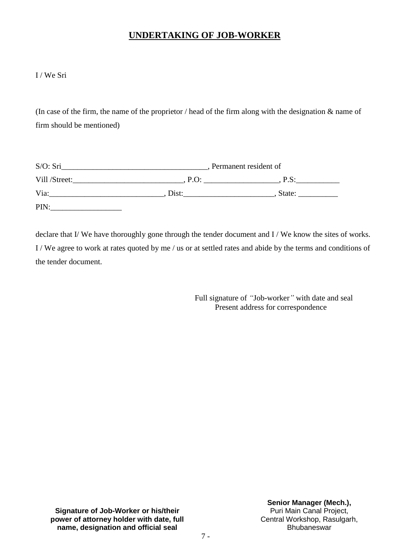## **UNDERTAKING OF JOB-WORKER**

#### I / We Sri

(In case of the firm, the name of the proprietor / head of the firm along with the designation & name of firm should be mentioned)

| S/O: Sri      | , Permanent resident of |        |
|---------------|-------------------------|--------|
| Vill /Street: | $P.O$ :                 | P.S:   |
| Via:          | Dist:                   | State: |
| PIN:          |                         |        |

declare that I/ We have thoroughly gone through the tender document and I/ We know the sites of works. I / We agree to work at rates quoted by me / us or at settled rates and abide by the terms and conditions of the tender document.

> Full signature of *"*Job-worker*"* with date and seal Present address for correspondence

**Signature of Job-Worker or his/their power of attorney holder with date, full name, designation and official seal**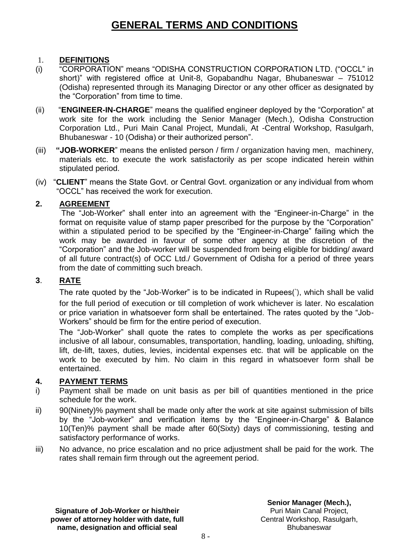# **GENERAL TERMS AND CONDITIONS**

## 1. **DEFINITIONS**

- (i) "CORPORATION" means "ODISHA CONSTRUCTION CORPORATION LTD. ("OCCL" in short)" with registered office at Unit-8, Gopabandhu Nagar, Bhubaneswar – 751012 (Odisha) represented through its Managing Director or any other officer as designated by the "Corporation" from time to time.
- (ii) "**ENGINEER-IN-CHARGE**" means the qualified engineer deployed by the "Corporation" at work site for the work including the Senior Manager (Mech.), Odisha Construction Corporation Ltd., Puri Main Canal Project, Mundali, At -Central Workshop, Rasulgarh, Bhubaneswar - 10 (Odisha) or their authorized person".
- (iii) **"JOB-WORKER**" means the enlisted person / firm / organization having men, machinery, materials etc. to execute the work satisfactorily as per scope indicated herein within stipulated period.
- (iv) "**CLIENT**" means the State Govt. or Central Govt. organization or any individual from whom "OCCL" has received the work for execution.

#### **2. AGREEMENT**

The "Job-Worker" shall enter into an agreement with the "Engineer-in-Charge" in the format on requisite value of stamp paper prescribed for the purpose by the "Corporation" within a stipulated period to be specified by the "Engineer-in-Charge" failing which the work may be awarded in favour of some other agency at the discretion of the "Corporation" and the Job-worker will be suspended from being eligible for bidding/ award of all future contract(s) of OCC Ltd./ Government of Odisha for a period of three years from the date of committing such breach.

## **3**. **RATE**

The rate quoted by the "Job-Worker" is to be indicated in Rupees(`), which shall be valid for the full period of execution or till completion of work whichever is later. No escalation or price variation in whatsoever form shall be entertained. The rates quoted by the "Job-Workers" should be firm for the entire period of execution.

The "Job-Worker" shall quote the rates to complete the works as per specifications inclusive of all labour, consumables, transportation, handling, loading, unloading, shifting, lift, de-lift, taxes, duties, levies, incidental expenses etc. that will be applicable on the work to be executed by him. No claim in this regard in whatsoever form shall be entertained.

## **4. PAYMENT TERMS**

- i) Payment shall be made on unit basis as per bill of quantities mentioned in the price schedule for the work.
- ii) 90(Ninety)% payment shall be made only after the work at site against submission of bills by the "Job-worker" and verification items by the "Engineer-in-Charge" & Balance 10(Ten)% payment shall be made after 60(Sixty) days of commissioning, testing and satisfactory performance of works.
- iii) No advance, no price escalation and no price adjustment shall be paid for the work. The rates shall remain firm through out the agreement period.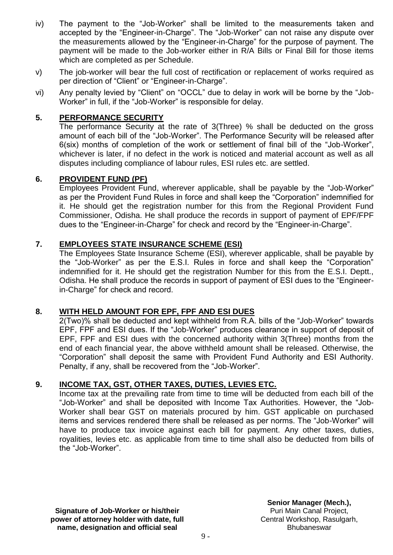- iv) The payment to the "Job-Worker" shall be limited to the measurements taken and accepted by the "Engineer-in-Charge". The "Job-Worker" can not raise any dispute over the measurements allowed by the "Engineer-in-Charge" for the purpose of payment. The payment will be made to the Job-worker either in R/A Bills or Final Bill for those items which are completed as per Schedule.
- v) The job-worker will bear the full cost of rectification or replacement of works required as per direction of "Client" or "Engineer-in-Charge".
- vi) Any penalty levied by "Client" on "OCCL" due to delay in work will be borne by the "Job-Worker" in full, if the "Job-Worker" is responsible for delay.

## **5. PERFORMANCE SECURITY**

The performance Security at the rate of 3(Three) % shall be deducted on the gross amount of each bill of the "Job-Worker". The Performance Security will be released after 6(six) months of completion of the work or settlement of final bill of the "Job-Worker", whichever is later, if no defect in the work is noticed and material account as well as all disputes including compliance of labour rules, ESI rules etc. are settled.

#### **6. PROVIDENT FUND (PF)**

Employees Provident Fund, wherever applicable, shall be payable by the "Job-Worker" as per the Provident Fund Rules in force and shall keep the "Corporation" indemnified for it. He should get the registration number for this from the Regional Provident Fund Commissioner, Odisha. He shall produce the records in support of payment of EPF/FPF dues to the "Engineer-in-Charge" for check and record by the "Engineer-in-Charge".

#### **7. EMPLOYEES STATE INSURANCE SCHEME (ESI)**

The Employees State Insurance Scheme (ESI), wherever applicable, shall be payable by the "Job-Worker" as per the E.S.I. Rules in force and shall keep the "Corporation" indemnified for it. He should get the registration Number for this from the E.S.I. Deptt., Odisha. He shall produce the records in support of payment of ESI dues to the "Engineerin-Charge" for check and record.

## **8. WITH HELD AMOUNT FOR EPF, FPF AND ESI DUES**

2(Two)% shall be deducted and kept withheld from R.A. bills of the "Job-Worker" towards EPF, FPF and ESI dues. If the "Job-Worker" produces clearance in support of deposit of EPF, FPF and ESI dues with the concerned authority within 3(Three) months from the end of each financial year, the above withheld amount shall be released. Otherwise, the "Corporation" shall deposit the same with Provident Fund Authority and ESI Authority. Penalty, if any, shall be recovered from the "Job-Worker".

## **9. INCOME TAX, GST, OTHER TAXES, DUTIES, LEVIES ETC.**

Income tax at the prevailing rate from time to time will be deducted from each bill of the "Job-Worker" and shall be deposited with Income Tax Authorities. However, the "Job-Worker shall bear GST on materials procured by him. GST applicable on purchased items and services rendered there shall be released as per norms. The "Job-Worker" will have to produce tax invoice against each bill for payment. Any other taxes, duties, royalities, levies etc. as applicable from time to time shall also be deducted from bills of the "Job-Worker".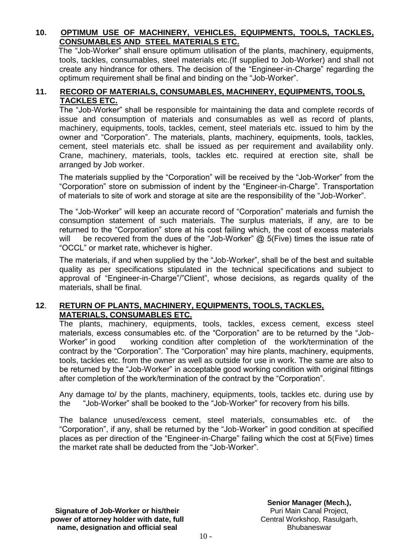## **10. OPTIMUM USE OF MACHINERY, VEHICLES, EQUIPMENTS, TOOLS, TACKLES, CONSUMABLES AND STEEL MATERIALS ETC.**

 The "Job-Worker" shall ensure optimum utilisation of the plants, machinery, equipments, tools, tackles, consumables, steel materials etc.(If supplied to Job-Worker) and shall not create any hindrance for others. The decision of the "Engineer-in-Charge" regarding the optimum requirement shall be final and binding on the "Job-Worker".

## **11. RECORD OF MATERIALS, CONSUMABLES, MACHINERY, EQUIPMENTS, TOOLS, TACKLES ETC.**

The "Job-Worker" shall be responsible for maintaining the data and complete records of issue and consumption of materials and consumables as well as record of plants, machinery, equipments, tools, tackles, cement, steel materials etc. issued to him by the owner and "Corporation". The materials, plants, machinery, equipments, tools, tackles, cement, steel materials etc. shall be issued as per requirement and availability only. Crane, machinery, materials, tools, tackles etc. required at erection site, shall be arranged by Job worker.

The materials supplied by the "Corporation" will be received by the "Job-Worker" from the "Corporation" store on submission of indent by the "Engineer-in-Charge". Transportation of materials to site of work and storage at site are the responsibility of the "Job-Worker".

The "Job-Worker" will keep an accurate record of "Corporation" materials and furnish the consumption statement of such materials. The surplus materials, if any, are to be returned to the "Corporation" store at his cost failing which, the cost of excess materials will be recovered from the dues of the "Job-Worker" @ 5(Five) times the issue rate of "OCCL" or market rate, whichever is higher.

The materials, if and when supplied by the "Job-Worker", shall be of the best and suitable quality as per specifications stipulated in the technical specifications and subject to approval of "Engineer-in-Charge"/"Client", whose decisions, as regards quality of the materials, shall be final.

## **12**. **RETURN OF PLANTS, MACHINERY, EQUIPMENTS, TOOLS, TACKLES, MATERIALS, CONSUMABLES ETC.**

The plants, machinery, equipments, tools, tackles, excess cement, excess steel materials, excess consumables etc. of the "Corporation" are to be returned by the "Job-Worker" in good working condition after completion of the work/termination of the contract by the "Corporation". The "Corporation" may hire plants, machinery, equipments, tools, tackles etc. from the owner as well as outside for use in work. The same are also to be returned by the "Job-Worker" in acceptable good working condition with original fittings after completion of the work/termination of the contract by the "Corporation".

Any damage to/ by the plants, machinery, equipments, tools, tackles etc. during use by the "Job-Worker" shall be booked to the "Job-Worker" for recovery from his bills.

The balance unused/excess cement, steel materials, consumables etc. of the "Corporation", if any, shall be returned by the "Job-Worker" in good condition at specified places as per direction of the "Engineer-in-Charge" failing which the cost at 5(Five) times the market rate shall be deducted from the "Job-Worker".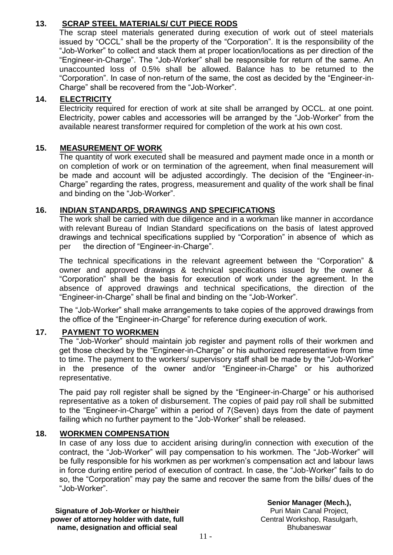## **13. SCRAP STEEL MATERIALS/ CUT PIECE RODS**

The scrap steel materials generated during execution of work out of steel materials issued by "OCCL" shall be the property of the "Corporation". It is the responsibility of the "Job-Worker" to collect and stack them at proper location/locations as per direction of the "Engineer-in-Charge". The "Job-Worker" shall be responsible for return of the same. An unaccounted loss of 0.5% shall be allowed. Balance has to be returned to the "Corporation". In case of non-return of the same, the cost as decided by the "Engineer-in-Charge" shall be recovered from the "Job-Worker".

## **14. ELECTRICITY**

Electricity required for erection of work at site shall be arranged by OCCL. at one point. Electricity, power cables and accessories will be arranged by the "Job-Worker" from the available nearest transformer required for completion of the work at his own cost.

## **15. MEASUREMENT OF WORK**

The quantity of work executed shall be measured and payment made once in a month or on completion of work or on termination of the agreement, when final measurement will be made and account will be adjusted accordingly. The decision of the "Engineer-in-Charge" regarding the rates, progress, measurement and quality of the work shall be final and binding on the "Job-Worker".

## **16. INDIAN STANDARDS, DRAWINGS AND SPECIFICATIONS**

The work shall be carried with due diligence and in a workman like manner in accordance with relevant Bureau of Indian Standard specifications on the basis of latest approved drawings and technical specifications supplied by "Corporation" in absence of which as per the direction of "Engineer-in-Charge".

The technical specifications in the relevant agreement between the "Corporation" & owner and approved drawings & technical specifications issued by the owner & "Corporation" shall be the basis for execution of work under the agreement. In the absence of approved drawings and technical specifications, the direction of the "Engineer-in-Charge" shall be final and binding on the "Job-Worker".

The "Job-Worker" shall make arrangements to take copies of the approved drawings from the office of the "Engineer-in-Charge" for reference during execution of work.

## **17. PAYMENT TO WORKMEN**

The "Job-Worker" should maintain job register and payment rolls of their workmen and get those checked by the "Engineer-in-Charge" or his authorized representative from time to time. The payment to the workers/ supervisory staff shall be made by the "Job-Worker" in the presence of the owner and/or "Engineer-in-Charge" or his authorized representative.

The paid pay roll register shall be signed by the "Engineer-in-Charge" or his authorised representative as a token of disbursement. The copies of paid pay roll shall be submitted to the "Engineer-in-Charge" within a period of 7(Seven) days from the date of payment failing which no further payment to the "Job-Worker" shall be released.

## **18. WORKMEN COMPENSATION**

In case of any loss due to accident arising during/in connection with execution of the contract, the "Job-Worker" will pay compensation to his workmen. The "Job-Worker" will be fully responsible for his workmen as per workmen's compensation act and labour laws in force during entire period of execution of contract. In case, the "Job-Worker" fails to do so, the "Corporation" may pay the same and recover the same from the bills/ dues of the "Job-Worker".

**Signature of Job-Worker or his/their power of attorney holder with date, full name, designation and official seal**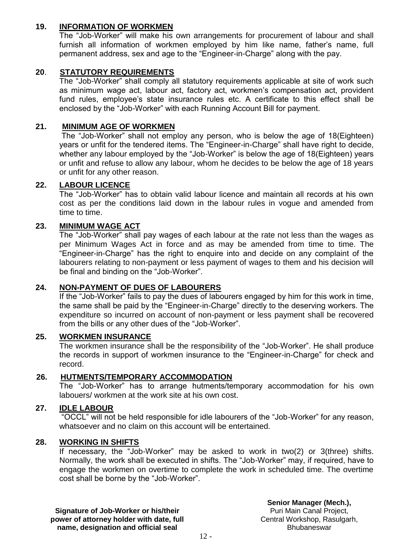## **19. INFORMATION OF WORKMEN**

The "Job-Worker" will make his own arrangements for procurement of labour and shall furnish all information of workmen employed by him like name, father's name, full permanent address, sex and age to the "Engineer-in-Charge" along with the pay.

## **20**. **STATUTORY REQUIREMENTS**

The "Job-Worker" shall comply all statutory requirements applicable at site of work such as minimum wage act, labour act, factory act, workmen's compensation act, provident fund rules, employee's state insurance rules etc. A certificate to this effect shall be enclosed by the "Job-Worker" with each Running Account Bill for payment.

#### **21. MINIMUM AGE OF WORKMEN**

The "Job-Worker" shall not employ any person, who is below the age of 18(Eighteen) years or unfit for the tendered items. The "Engineer-in-Charge" shall have right to decide, whether any labour employed by the "Job-Worker" is below the age of 18(Eighteen) years or unfit and refuse to allow any labour, whom he decides to be below the age of 18 years or unfit for any other reason.

#### **22. LABOUR LICENCE**

The "Job-Worker" has to obtain valid labour licence and maintain all records at his own cost as per the conditions laid down in the labour rules in vogue and amended from time to time.

#### **23. MINIMUM WAGE ACT**

The "Job-Worker" shall pay wages of each labour at the rate not less than the wages as per Minimum Wages Act in force and as may be amended from time to time. The "Engineer-in-Charge" has the right to enquire into and decide on any complaint of the labourers relating to non-payment or less payment of wages to them and his decision will be final and binding on the "Job-Worker".

#### **24. NON-PAYMENT OF DUES OF LABOURERS**

If the "Job-Worker" fails to pay the dues of labourers engaged by him for this work in time, the same shall be paid by the "Engineer-in-Charge" directly to the deserving workers. The expenditure so incurred on account of non-payment or less payment shall be recovered from the bills or any other dues of the "Job-Worker".

## **25. WORKMEN INSURANCE**

The workmen insurance shall be the responsibility of the "Job-Worker". He shall produce the records in support of workmen insurance to the "Engineer-in-Charge" for check and record.

#### **26. HUTMENTS/TEMPORARY ACCOMMODATION**

The "Job-Worker" has to arrange hutments/temporary accommodation for his own labouers/ workmen at the work site at his own cost.

#### **27. IDLE LABOUR**

"OCCL" will not be held responsible for idle labourers of the "Job-Worker" for any reason, whatsoever and no claim on this account will be entertained.

#### **28. WORKING IN SHIFTS**

If necessary, the "Job-Worker" may be asked to work in two(2) or 3(three) shifts. Normally, the work shall be executed in shifts. The "Job-Worker" may, if required, have to engage the workmen on overtime to complete the work in scheduled time. The overtime cost shall be borne by the "Job-Worker".

**Signature of Job-Worker or his/their power of attorney holder with date, full name, designation and official seal**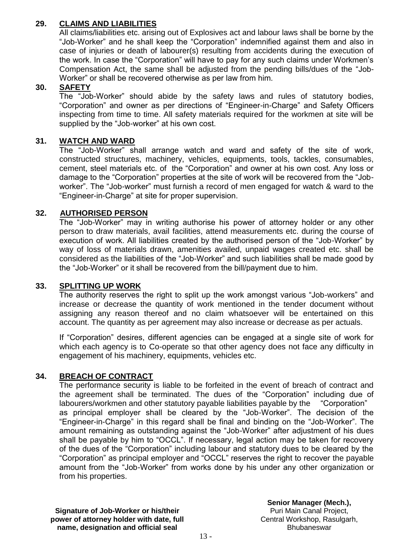## **29. CLAIMS AND LIABILITIES**

All claims/liabilities etc. arising out of Explosives act and labour laws shall be borne by the "Job-Worker" and he shall keep the "Corporation" indemnified against them and also in case of injuries or death of labourer(s) resulting from accidents during the execution of the work. In case the "Corporation" will have to pay for any such claims under Workmen's Compensation Act, the same shall be adjusted from the pending bills/dues of the "Job-Worker" or shall be recovered otherwise as per law from him.

## **30. SAFETY**

The "Job-Worker" should abide by the safety laws and rules of statutory bodies, "Corporation" and owner as per directions of "Engineer-in-Charge" and Safety Officers inspecting from time to time. All safety materials required for the workmen at site will be supplied by the "Job-worker" at his own cost.

## **31. WATCH AND WARD**

The "Job-Worker" shall arrange watch and ward and safety of the site of work, constructed structures, machinery, vehicles, equipments, tools, tackles, consumables, cement, steel materials etc. of the "Corporation" and owner at his own cost. Any loss or damage to the "Corporation" properties at the site of work will be recovered from the "Jobworker". The "Job-worker" must furnish a record of men engaged for watch & ward to the "Engineer-in-Charge" at site for proper supervision.

## **32. AUTHORISED PERSON**

The "Job-Worker" may in writing authorise his power of attorney holder or any other person to draw materials, avail facilities, attend measurements etc. during the course of execution of work. All liabilities created by the authorised person of the "Job-Worker" by way of loss of materials drawn, amenities availed, unpaid wages created etc. shall be considered as the liabilities of the "Job-Worker" and such liabilities shall be made good by the "Job-Worker" or it shall be recovered from the bill/payment due to him.

#### **33. SPLITTING UP WORK**

The authority reserves the right to split up the work amongst various "Job-workers" and increase or decrease the quantity of work mentioned in the tender document without assigning any reason thereof and no claim whatsoever will be entertained on this account. The quantity as per agreement may also increase or decrease as per actuals.

If "Corporation" desires, different agencies can be engaged at a single site of work for which each agency is to Co-operate so that other agency does not face any difficulty in engagement of his machinery, equipments, vehicles etc.

#### **34. BREACH OF CONTRACT**

The performance security is liable to be forfeited in the event of breach of contract and the agreement shall be terminated. The dues of the "Corporation" including due of labourers/workmen and other statutory payable liabilities payable by the "Corporation" as principal employer shall be cleared by the "Job-Worker". The decision of the "Engineer-in-Charge" in this regard shall be final and binding on the "Job-Worker". The amount remaining as outstanding against the "Job-Worker" after adjustment of his dues shall be payable by him to "OCCL". If necessary, legal action may be taken for recovery of the dues of the "Corporation" including labour and statutory dues to be cleared by the "Corporation" as principal employer and "OCCL" reserves the right to recover the payable amount from the "Job-Worker" from works done by his under any other organization or from his properties.

**Signature of Job-Worker or his/their power of attorney holder with date, full name, designation and official seal**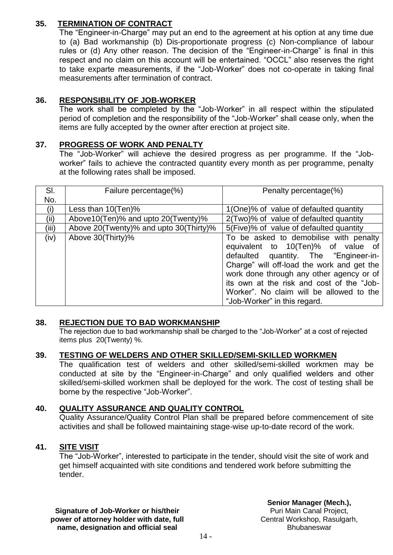## **35. TERMINATION OF CONTRACT**

The "Engineer-in-Charge" may put an end to the agreement at his option at any time due to (a) Bad workmanship (b) Dis-proportionate progress (c) Non-compliance of labour rules or (d) Any other reason. The decision of the "Engineer-in-Charge" is final in this respect and no claim on this account will be entertained. "OCCL" also reserves the right to take exparte measurements, if the "Job-Worker" does not co-operate in taking final measurements after termination of contract.

## **36. RESPONSIBILITY OF JOB-WORKER**

The work shall be completed by the "Job-Worker" in all respect within the stipulated period of completion and the responsibility of the "Job-Worker" shall cease only, when the items are fully accepted by the owner after erection at project site.

## **37. PROGRESS OF WORK AND PENALTY**

The "Job-Worker" will achieve the desired progress as per programme. If the "Jobworker" fails to achieve the contracted quantity every month as per programme, penalty at the following rates shall be imposed.

| SI.   | Failure percentage(%)                  | Penalty percentage(%)                                                       |
|-------|----------------------------------------|-----------------------------------------------------------------------------|
| No.   |                                        |                                                                             |
| (i)   | Less than $10(Ten)\%$                  | 1(One)% of value of defaulted quantity                                      |
| (ii)  | Above10(Ten)% and upto 20(Twenty)%     | 2(Two)% of value of defaulted quantity                                      |
| (iii) | Above 20(Twenty)% and upto 30(Thirty)% | 5(Five)% of value of defaulted quantity                                     |
| (iv)  | Above 30(Thirty)%                      | To be asked to demobilise with penalty                                      |
|       |                                        | equivalent to 10(Ten)% of value of<br>defaulted quantity. The "Engineer-in- |
|       |                                        | Charge" will off-load the work and get the                                  |
|       |                                        | work done through any other agency or of                                    |
|       |                                        | its own at the risk and cost of the "Job-                                   |
|       |                                        | Worker". No claim will be allowed to the                                    |
|       |                                        | "Job-Worker" in this regard.                                                |

#### **38. REJECTION DUE TO BAD WORKMANSHIP**

The rejection due to bad workmanship shall be charged to the "Job-Worker" at a cost of rejected items plus 20(Twenty) %.

## **39. TESTING OF WELDERS AND OTHER SKILLED/SEMI-SKILLED WORKMEN**

The qualification test of welders and other skilled/semi-skilled workmen may be conducted at site by the "Engineer-in-Charge" and only qualified welders and other skilled/semi-skilled workmen shall be deployed for the work. The cost of testing shall be borne by the respective "Job-Worker".

## **40. QUALITY ASSURANCE AND QUALITY CONTROL**

Quality Assurance/Quality Control Plan shall be prepared before commencement of site activities and shall be followed maintaining stage-wise up-to-date record of the work.

## **41. SITE VISIT**

The "Job-Worker", interested to participate in the tender, should visit the site of work and get himself acquainted with site conditions and tendered work before submitting the tender.

**Signature of Job-Worker or his/their power of attorney holder with date, full name, designation and official seal**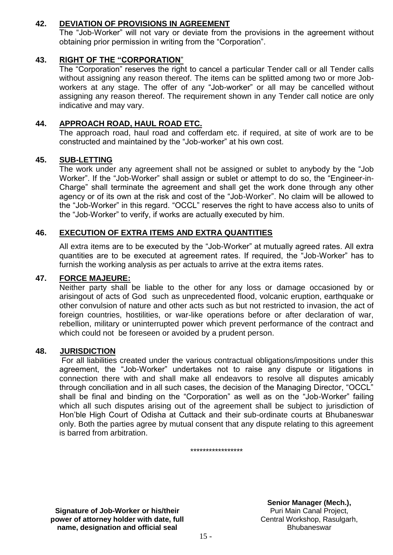## **42. DEVIATION OF PROVISIONS IN AGREEMENT**

The "Job-Worker" will not vary or deviate from the provisions in the agreement without obtaining prior permission in writing from the "Corporation".

## **43. RIGHT OF THE "CORPORATION**"

The "Corporation" reserves the right to cancel a particular Tender call or all Tender calls without assigning any reason thereof. The items can be splitted among two or more Jobworkers at any stage. The offer of any "Job-worker" or all may be cancelled without assigning any reason thereof. The requirement shown in any Tender call notice are only indicative and may vary.

## **44. APPROACH ROAD, HAUL ROAD ETC.**

The approach road, haul road and cofferdam etc. if required, at site of work are to be constructed and maintained by the "Job-worker" at his own cost.

#### **45. SUB-LETTING**

The work under any agreement shall not be assigned or sublet to anybody by the "Job Worker". If the "Job-Worker" shall assign or sublet or attempt to do so, the "Engineer-in-Charge" shall terminate the agreement and shall get the work done through any other agency or of its own at the risk and cost of the "Job-Worker". No claim will be allowed to the "Job-Worker" in this regard. "OCCL" reserves the right to have access also to units of the "Job-Worker" to verify, if works are actually executed by him.

#### **46. EXECUTION OF EXTRA ITEMS AND EXTRA QUANTITIES**

All extra items are to be executed by the "Job-Worker" at mutually agreed rates. All extra quantities are to be executed at agreement rates. If required, the "Job-Worker" has to furnish the working analysis as per actuals to arrive at the extra items rates.

#### **47. FORCE MAJEURE:**

Neither party shall be liable to the other for any loss or damage occasioned by or arisingout of acts of God such as unprecedented flood, volcanic eruption, earthquake or other convulsion of nature and other acts such as but not restricted to invasion, the act of foreign countries, hostilities, or war-like operations before or after declaration of war, rebellion, military or uninterrupted power which prevent performance of the contract and which could not be foreseen or avoided by a prudent person.

#### **48. JURISDICTION**

For all liabilities created under the various contractual obligations/impositions under this agreement, the "Job-Worker" undertakes not to raise any dispute or litigations in connection there with and shall make all endeavors to resolve all disputes amicably through conciliation and in all such cases, the decision of the Managing Director, "OCCL" shall be final and binding on the "Corporation" as well as on the "Job-Worker" failing which all such disputes arising out of the agreement shall be subject to jurisdiction of Hon'ble High Court of Odisha at Cuttack and their sub-ordinate courts at Bhubaneswar only. Both the parties agree by mutual consent that any dispute relating to this agreement is barred from arbitration.

\*\*\*\*\*\*\*\*\*\*\*\*\*\*\*\*\*

**Signature of Job-Worker or his/their power of attorney holder with date, full name, designation and official seal**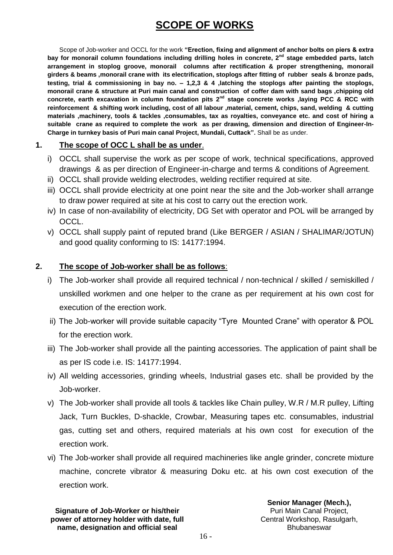# **SCOPE OF WORKS**

Scope of Job-worker and OCCL for the work **"Erection, fixing and alignment of anchor bolts on piers & extra bay for monorail column foundations including drilling holes in concrete, 2nd stage embedded parts, latch arrangement in stoplog groove, monorail columns after rectification & proper strengthening, monorail girders & beams ,monorail crane with its electrification, stoplogs after fitting of rubber seals & bronze pads, testing, trial & commissioning in bay no. – 1,2,3 & 4 ,latching the stoplogs after painting the stoplogs, monorail crane & structure at Puri main canal and construction of coffer dam with sand bags ,chipping old concrete, earth excavation in column foundation pits 2nd stage concrete works ,laying PCC & RCC with reinforcement & shifting work including, cost of all labour ,material, cement, chips, sand, welding & cutting materials ,machinery, tools & tackles ,consumables, tax as royalties, conveyance etc. and cost of hiring a suitable crane as required to complete the work as per drawing, dimension and direction of Engineer-In-Charge in turnkey basis of Puri main canal Project, Mundali, Cuttack".** Shall be as under.

## **1. The scope of OCC L shall be as under**.

- i) OCCL shall supervise the work as per scope of work, technical specifications, approved drawings & as per direction of Engineer-in-charge and terms & conditions of Agreement.
- ii) OCCL shall provide welding electrodes, welding rectifier required at site.
- iii) OCCL shall provide electricity at one point near the site and the Job-worker shall arrange to draw power required at site at his cost to carry out the erection work.
- iv) In case of non-availability of electricity, DG Set with operator and POL will be arranged by OCCL.
- v) OCCL shall supply paint of reputed brand (Like BERGER / ASIAN / SHALIMAR/JOTUN) and good quality conforming to IS: 14177:1994.

## **2. The scope of Job-worker shall be as follows**:

- i) The Job-worker shall provide all required technical / non-technical / skilled / semiskilled / unskilled workmen and one helper to the crane as per requirement at his own cost for execution of the erection work.
- ii) The Job-worker will provide suitable capacity "Tyre Mounted Crane" with operator & POL for the erection work.
- iii) The Job-worker shall provide all the painting accessories. The application of paint shall be as per IS code i.e. IS: 14177:1994.
- iv) All welding accessories, grinding wheels, Industrial gases etc. shall be provided by the Job-worker.
- v) The Job-worker shall provide all tools & tackles like Chain pulley, W.R / M.R pulley, Lifting Jack, Turn Buckles, D-shackle, Crowbar, Measuring tapes etc. consumables, industrial gas, cutting set and others, required materials at his own cost for execution of the erection work.
- vi) The Job-worker shall provide all required machineries like angle grinder, concrete mixture machine, concrete vibrator & measuring Doku etc. at his own cost execution of the erection work.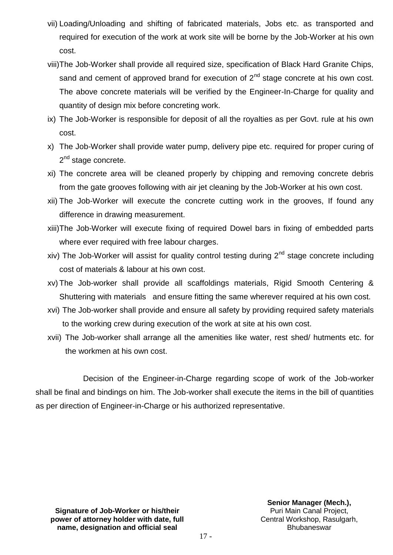- vii) Loading/Unloading and shifting of fabricated materials, Jobs etc. as transported and required for execution of the work at work site will be borne by the Job-Worker at his own cost.
- viii)The Job-Worker shall provide all required size, specification of Black Hard Granite Chips, sand and cement of approved brand for execution of  $2<sup>nd</sup>$  stage concrete at his own cost. The above concrete materials will be verified by the Engineer-In-Charge for quality and quantity of design mix before concreting work.
- ix) The Job-Worker is responsible for deposit of all the royalties as per Govt. rule at his own cost.
- x) The Job-Worker shall provide water pump, delivery pipe etc. required for proper curing of 2<sup>nd</sup> stage concrete.
- xi) The concrete area will be cleaned properly by chipping and removing concrete debris from the gate grooves following with air jet cleaning by the Job-Worker at his own cost.
- xii) The Job-Worker will execute the concrete cutting work in the grooves, If found any difference in drawing measurement.
- xiii)The Job-Worker will execute fixing of required Dowel bars in fixing of embedded parts where ever required with free labour charges.
- xiv) The Job-Worker will assist for quality control testing during  $2<sup>nd</sup>$  stage concrete including cost of materials & labour at his own cost.
- xv) The Job-worker shall provide all scaffoldings materials, Rigid Smooth Centering & Shuttering with materials and ensure fitting the same wherever required at his own cost.
- xvi) The Job-worker shall provide and ensure all safety by providing required safety materials to the working crew during execution of the work at site at his own cost.
- xvii) The Job-worker shall arrange all the amenities like water, rest shed/ hutments etc. for the workmen at his own cost.

Decision of the Engineer-in-Charge regarding scope of work of the Job-worker shall be final and bindings on him. The Job-worker shall execute the items in the bill of quantities as per direction of Engineer-in-Charge or his authorized representative.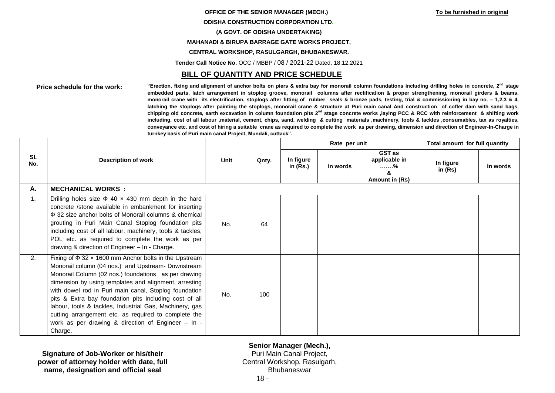# **OFFICE OF THE SENIOR MANAGER (MECH.) To be furnished in original ODISHA CONSTRUCTION CORPORATION LTD. (A GOVT. OF ODISHA UNDERTAKING) MAHANADI & BIRUPA BARRAGE GATE WORKS PROJECT,**

**CENTRAL WORKSHOP, RASULGARGH, BHUBANESWAR.**

**Tender Call Notice No.** OCC / MBBP / 08 / 2021-22 Dated. 18.12.2021

#### **BILL OF QUANTITY AND PRICE SCHEDULE**

**Price schedule for the work: "Erection, fixing and alignment of anchor bolts on piers & extra bay for monorail column foundations including drilling holes in concrete, 2nd stage embedded parts, latch arrangement in stoplog groove, monorail columns after rectification & proper strengthening, monorail girders & beams, monorail crane with its electrification, stoplogs after fitting of rubber seals & bronze pads, testing, trial & commissioning in bay no. – 1,2,3 & 4, latching the stoplogs after painting the stoplogs, monorail crane & structure at Puri main canal And construction of coffer dam with sand bags, chipping old concrete, earth excavation in column foundation pits 2nd stage concrete works ,laying PCC & RCC with reinforcement & shifting work including, cost of all labour ,material, cement, chips, sand, welding & cutting materials ,machinery, tools & tackles ,consumables, tax as royalties, conveyance etc. and cost of hiring a suitable crane as required to complete the work as per drawing, dimension and direction of Engineer-In-Charge in turnkey basis of Puri main canal Project, Mundali, cuttack".**

| SI.<br>No. | <b>Description of work</b>                                                                                                                                                                                                                                                                                                                                                                                                                                                                                                               | <b>Unit</b> | Qnty. |                       | Rate per unit |                                                       | Total amount for full quantity |          |
|------------|------------------------------------------------------------------------------------------------------------------------------------------------------------------------------------------------------------------------------------------------------------------------------------------------------------------------------------------------------------------------------------------------------------------------------------------------------------------------------------------------------------------------------------------|-------------|-------|-----------------------|---------------|-------------------------------------------------------|--------------------------------|----------|
|            |                                                                                                                                                                                                                                                                                                                                                                                                                                                                                                                                          |             |       | In figure<br>in (Rs.) | In words      | GST as<br>applicable in<br>. %<br>ጼ<br>Amount in (Rs) | In figure<br>in $(Rs)$         | In words |
| А.         | <b>MECHANICAL WORKS:</b>                                                                                                                                                                                                                                                                                                                                                                                                                                                                                                                 |             |       |                       |               |                                                       |                                |          |
| 1.         | Drilling holes size $\Phi$ 40 $\times$ 430 mm depth in the hard<br>concrete /stone available in embankment for inserting<br>Φ 32 size anchor bolts of Monorail columns & chemical<br>grouting in Puri Main Canal Stoplog foundation pits<br>including cost of all labour, machinery, tools & tackles,<br>POL etc. as required to complete the work as per<br>drawing & direction of Engineer - In - Charge.                                                                                                                              | No.         | 64    |                       |               |                                                       |                                |          |
| 2.         | Fixing of $\Phi$ 32 x 1600 mm Anchor bolts in the Upstream<br>Monorail column (04 nos.) and Upstream- Downstream<br>Monorail Column (02 nos.) foundations as per drawing<br>dimension by using templates and alignment, arresting<br>with dowel rod in Puri main canal, Stoplog foundation<br>pits & Extra bay foundation pits including cost of all<br>labour, tools & tackles, Industrial Gas, Machinery, gas<br>cutting arrangement etc. as required to complete the<br>work as per drawing & direction of Engineer - In -<br>Charge. | No.         | 100   |                       |               |                                                       |                                |          |

**Signature of Job-Worker or his/their power of attorney holder with date, full name, designation and official seal**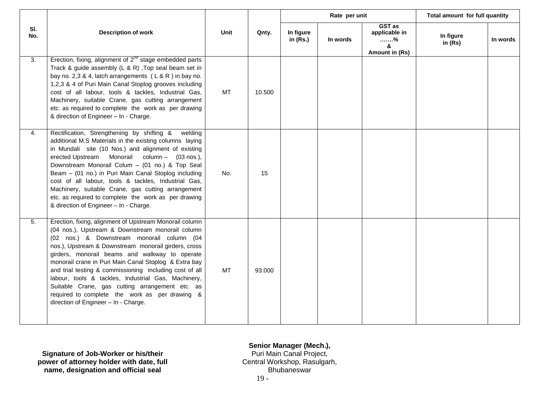|            |                                                                                                                                                                                                                                                                                                                                                                                                                                                                                                                                                                                             |           | Qnty.  |                         | Rate per unit |                                                     | Total amount for full quantity |          |
|------------|---------------------------------------------------------------------------------------------------------------------------------------------------------------------------------------------------------------------------------------------------------------------------------------------------------------------------------------------------------------------------------------------------------------------------------------------------------------------------------------------------------------------------------------------------------------------------------------------|-----------|--------|-------------------------|---------------|-----------------------------------------------------|--------------------------------|----------|
| SI.<br>No. | <b>Description of work</b>                                                                                                                                                                                                                                                                                                                                                                                                                                                                                                                                                                  | Unit      |        | In figure<br>in $(Rs.)$ | In words      | GST as<br>applicable in<br>%<br>&<br>Amount in (Rs) | In figure<br>in $(Rs)$         | In words |
| 3.         | Erection, fixing, alignment of $2^{nd}$ stage embedded parts<br>Track & guide assembly (L & R), Top seal beam set in<br>bay no. 2,3 & 4, latch arrangements $(L & R)$ in bay no.<br>1,2,3 & 4 of Puri Main Canal Stoplog grooves including<br>cost of all labour, tools & tackles, Industrial Gas,<br>Machinery, suitable Crane, gas cutting arrangement<br>etc. as required to complete the work as per drawing<br>& direction of Engineer - In - Charge.                                                                                                                                  | <b>MT</b> | 10.500 |                         |               |                                                     |                                |          |
| 4.         | Rectification, Strengthening by shifting &<br>welding<br>additional M.S Materials in the existing columns laying<br>in Mundali site (10 Nos.) and alignment of existing<br>erected Upstream Monorail column - (03 nos.),<br>Downstream Monorail Colum - (01 no.) & Top Seal<br>Beam - (01 no.) in Puri Main Canal Stoplog including<br>cost of all labour, tools & tackles, Industrial Gas,<br>Machinery, suitable Crane, gas cutting arrangement<br>etc. as required to complete the work as per drawing<br>& direction of Engineer - In - Charge.                                         | No.       | 15     |                         |               |                                                     |                                |          |
| 5.         | Erection, fixing, alignment of Upstream Monorail column<br>(04 nos.), Upstream & Downstream monorail column<br>(02 nos.) & Downstream monorail column (04<br>nos.), Upstream & Downstream monorail girders, cross<br>girders, monorail beams and walkway to operate<br>monorail crane in Puri Main Canal Stoplog & Extra bay<br>and trial testing & commissioning including cost of all<br>labour, tools & tackles, Industrial Gas, Machinery,<br>Suitable Crane, gas cutting arrangement etc. as<br>required to complete the work as per drawing &<br>direction of Engineer - In - Charge. | МT        | 93.000 |                         |               |                                                     |                                |          |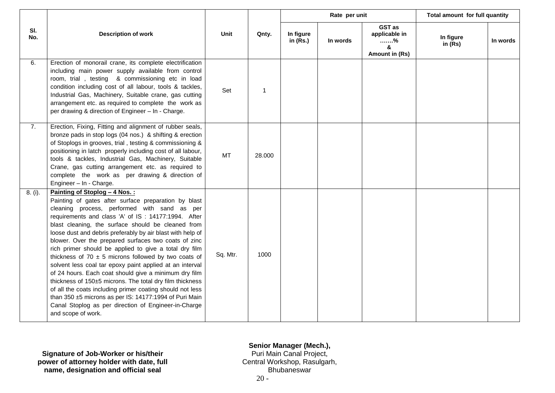|            |                                                                                                                                                                                                                                                                                                                                                                                                                                                                                                                                                                                                                                                                                                                                                                                                                                                                                      |             |              | Rate per unit           |          |                                                     | Total amount for full quantity |          |
|------------|--------------------------------------------------------------------------------------------------------------------------------------------------------------------------------------------------------------------------------------------------------------------------------------------------------------------------------------------------------------------------------------------------------------------------------------------------------------------------------------------------------------------------------------------------------------------------------------------------------------------------------------------------------------------------------------------------------------------------------------------------------------------------------------------------------------------------------------------------------------------------------------|-------------|--------------|-------------------------|----------|-----------------------------------------------------|--------------------------------|----------|
| SI.<br>No. | <b>Description of work</b>                                                                                                                                                                                                                                                                                                                                                                                                                                                                                                                                                                                                                                                                                                                                                                                                                                                           | <b>Unit</b> | Qnty.        | In figure<br>in $(Rs.)$ | In words | GST as<br>applicable in<br>%<br>&<br>Amount in (Rs) | In figure<br>in $(Rs)$         | In words |
| 6.         | Erection of monorail crane, its complete electrification<br>including main power supply available from control<br>room, trial, testing & commissioning etc in load<br>condition including cost of all labour, tools & tackles,<br>Industrial Gas, Machinery, Suitable crane, gas cutting<br>arrangement etc. as required to complete the work as<br>per drawing & direction of Engineer - In - Charge.                                                                                                                                                                                                                                                                                                                                                                                                                                                                               | Set         | $\mathbf{1}$ |                         |          |                                                     |                                |          |
| 7.         | Erection, Fixing, Fitting and alignment of rubber seals,<br>bronze pads in stop logs (04 nos.) & shifting & erection<br>of Stoplogs in grooves, trial, testing & commissioning &<br>positioning in latch properly including cost of all labour,<br>tools & tackles, Industrial Gas, Machinery, Suitable<br>Crane, gas cutting arrangement etc. as required to<br>complete the work as per drawing & direction of<br>Engineer - In - Charge.                                                                                                                                                                                                                                                                                                                                                                                                                                          | MT          | 28.000       |                         |          |                                                     |                                |          |
| 8. (i).    | Painting of Stoplog - 4 Nos.:<br>Painting of gates after surface preparation by blast<br>cleaning process, performed with sand as per<br>requirements and class 'A' of IS: 14177:1994. After<br>blast cleaning, the surface should be cleaned from<br>loose dust and debris preferably by air blast with help of<br>blower. Over the prepared surfaces two coats of zinc<br>rich primer should be applied to give a total dry film<br>thickness of 70 $\pm$ 5 microns followed by two coats of<br>solvent less coal tar epoxy paint applied at an interval<br>of 24 hours. Each coat should give a minimum dry film<br>thickness of 150±5 microns. The total dry film thickness<br>of all the coats including primer coating should not less<br>than 350 ±5 microns as per IS: 14177:1994 of Puri Main<br>Canal Stoplog as per direction of Engineer-in-Charge<br>and scope of work. | Sq. Mtr.    | 1000         |                         |          |                                                     |                                |          |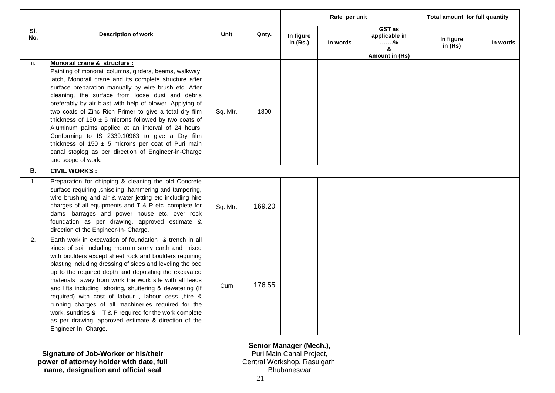|            | <b>Description of work</b>                                                                                                                                                                                                                                                                                                                                                                                                                                                                                                                                                                                                                                                                        | Unit     | Qnty.  | Rate per unit           |          |                                                     | Total amount for full quantity |          |
|------------|---------------------------------------------------------------------------------------------------------------------------------------------------------------------------------------------------------------------------------------------------------------------------------------------------------------------------------------------------------------------------------------------------------------------------------------------------------------------------------------------------------------------------------------------------------------------------------------------------------------------------------------------------------------------------------------------------|----------|--------|-------------------------|----------|-----------------------------------------------------|--------------------------------|----------|
| SI.<br>No. |                                                                                                                                                                                                                                                                                                                                                                                                                                                                                                                                                                                                                                                                                                   |          |        | In figure<br>in $(Rs.)$ | In words | GST as<br>applicable in<br>%<br>&<br>Amount in (Rs) | In figure<br>in $(Rs)$         | In words |
| ii.        | Monorail crane & structure :<br>Painting of monorail columns, girders, beams, walkway,<br>latch, Monorail crane and its complete structure after<br>surface preparation manually by wire brush etc. After<br>cleaning, the surface from loose dust and debris<br>preferably by air blast with help of blower. Applying of<br>two coats of Zinc Rich Primer to give a total dry film<br>thickness of $150 \pm 5$ microns followed by two coats of<br>Aluminum paints applied at an interval of 24 hours.<br>Conforming to IS 2339:10963 to give a Dry film<br>thickness of 150 $\pm$ 5 microns per coat of Puri main<br>canal stoplog as per direction of Engineer-in-Charge<br>and scope of work. | Sq. Mtr. | 1800   |                         |          |                                                     |                                |          |
| В.         | <b>CIVIL WORKS:</b>                                                                                                                                                                                                                                                                                                                                                                                                                                                                                                                                                                                                                                                                               |          |        |                         |          |                                                     |                                |          |
| 1.         | Preparation for chipping & cleaning the old Concrete<br>surface requiring , chiseling , hammering and tampering,<br>wire brushing and air & water jetting etc including hire<br>charges of all equipments and T & P etc. complete for<br>dams ,barrages and power house etc. over rock<br>foundation as per drawing, approved estimate &<br>direction of the Engineer-In- Charge.                                                                                                                                                                                                                                                                                                                 | Sq. Mtr. | 169.20 |                         |          |                                                     |                                |          |
| 2.         | Earth work in excavation of foundation & trench in all<br>kinds of soil including morrum stony earth and mixed<br>with boulders except sheet rock and boulders requiring<br>blasting including dressing of sides and leveling the bed<br>up to the required depth and depositing the excavated<br>materials away from work the work site with all leads<br>and lifts including shoring, shuttering & dewatering (If<br>required) with cost of labour, labour cess, hire &<br>running charges of all machineries required for the<br>work, sundries & T & P required for the work complete<br>as per drawing, approved estimate & direction of the<br>Engineer-In- Charge.                         | Cum      | 176.55 |                         |          |                                                     |                                |          |

**Signature of Job-Worker or his/their power of attorney holder with date, full name, designation and official seal**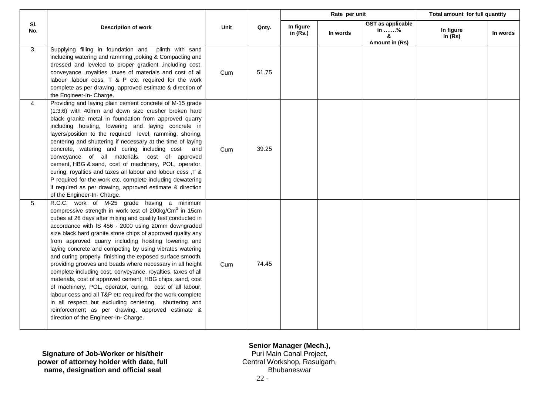|            |                                                                                                                                                                                                                                                                                                                                                                                                                                                                                                                                                                                                                                                                                                                                                                                                                                                                                                                                                                    |      |       | Rate per unit           |          | Total amount for full quantity                          |                        |          |
|------------|--------------------------------------------------------------------------------------------------------------------------------------------------------------------------------------------------------------------------------------------------------------------------------------------------------------------------------------------------------------------------------------------------------------------------------------------------------------------------------------------------------------------------------------------------------------------------------------------------------------------------------------------------------------------------------------------------------------------------------------------------------------------------------------------------------------------------------------------------------------------------------------------------------------------------------------------------------------------|------|-------|-------------------------|----------|---------------------------------------------------------|------------------------|----------|
| SI.<br>No. | <b>Description of work</b>                                                                                                                                                                                                                                                                                                                                                                                                                                                                                                                                                                                                                                                                                                                                                                                                                                                                                                                                         | Unit | Qnty. | In figure<br>in $(Rs.)$ | In words | <b>GST as applicable</b><br>in %<br>&<br>Amount in (Rs) | In figure<br>in $(Rs)$ | In words |
| 3.         | Supplying filling in foundation and plinth with sand<br>including watering and ramming , poking & Compacting and<br>dressed and leveled to proper gradient , including cost,<br>conveyance ,royalties ,taxes of materials and cost of all<br>labour , labour cess, T & P etc. required for the work<br>complete as per drawing, approved estimate & direction of<br>the Engineer-In- Charge.                                                                                                                                                                                                                                                                                                                                                                                                                                                                                                                                                                       | Cum  | 51.75 |                         |          |                                                         |                        |          |
| 4.         | Providing and laying plain cement concrete of M-15 grade<br>(1:3:6) with 40mm and down size crusher broken hard<br>black granite metal in foundation from approved quarry<br>including hoisting, lowering and laying concrete in<br>layers/position to the required level, ramming, shoring,<br>centering and shuttering if necessary at the time of laying<br>concrete, watering and curing including cost<br>and<br>conveyance of all materials, cost of approved<br>cement, HBG & sand, cost of machinery, POL, operator,<br>curing, royalties and taxes all labour and lobour cess, T &<br>P required for the work etc. complete including dewatering<br>if required as per drawing, approved estimate & direction<br>of the Engineer-In- Charge.                                                                                                                                                                                                              | Cum  | 39.25 |                         |          |                                                         |                        |          |
| 5.         | R.C.C. work of M-25 grade having a minimum<br>compressive strength in work test of 200kg/Cm <sup>2</sup> in 15cm<br>cubes at 28 days after mixing and quality test conducted in<br>accordance with IS 456 - 2000 using 20mm downgraded<br>size black hard granite stone chips of approved quality any<br>from approved quarry including hoisting lowering and<br>laying concrete and competing by using vibrates watering<br>and curing properly finishing the exposed surface smooth,<br>providing grooves and beads where necessary in all height<br>complete including cost, conveyance, royalties, taxes of all<br>materials, cost of approved cement, HBG chips, sand, cost<br>of machinery, POL, operator, curing, cost of all labour,<br>labour cess and all T&P etc required for the work complete<br>in all respect but excluding centering, shuttering and<br>reinforcement as per drawing, approved estimate &<br>direction of the Engineer-In- Charge. | Cum  | 74.45 |                         |          |                                                         |                        |          |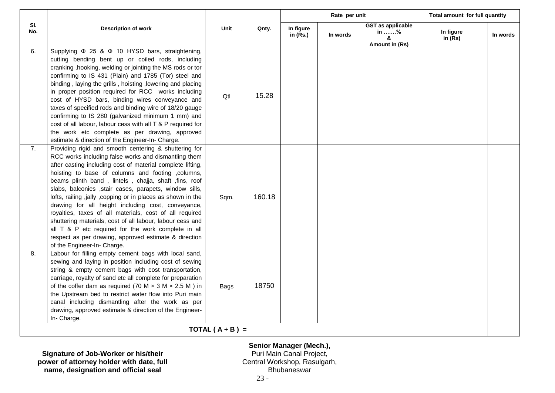|            |                                                                                                                                                                                                                                                                                                                                                                                                                                                                                                                                                                                                                                                                                                                                                   |                  |        | Rate per unit           |          | Total amount for full quantity                          |                        |          |
|------------|---------------------------------------------------------------------------------------------------------------------------------------------------------------------------------------------------------------------------------------------------------------------------------------------------------------------------------------------------------------------------------------------------------------------------------------------------------------------------------------------------------------------------------------------------------------------------------------------------------------------------------------------------------------------------------------------------------------------------------------------------|------------------|--------|-------------------------|----------|---------------------------------------------------------|------------------------|----------|
| SI.<br>No. | <b>Description of work</b>                                                                                                                                                                                                                                                                                                                                                                                                                                                                                                                                                                                                                                                                                                                        | Unit             | Qnty.  | In figure<br>in $(Rs.)$ | In words | <b>GST</b> as applicable<br>in %<br>&<br>Amount in (Rs) | In figure<br>in $(Rs)$ | In words |
| 6.         | Supplying Φ 25 & Φ 10 HYSD bars, straightening,<br>cutting bending bent up or coiled rods, including<br>cranking , hooking, welding or jointing the MS rods or tor<br>confirming to IS 431 (Plain) and 1785 (Tor) steel and<br>binding, laying the grills, hoisting, lowering and placing<br>in proper position required for RCC works including<br>cost of HYSD bars, binding wires conveyance and<br>taxes of specified rods and binding wire of 18/20 gauge<br>confirming to IS 280 (galvanized minimum 1 mm) and<br>cost of all labour, labour cess with all T & P required for<br>the work etc complete as per drawing, approved<br>estimate & direction of the Engineer-In- Charge.                                                         | Qtl              | 15.28  |                         |          |                                                         |                        |          |
| 7.         | Providing rigid and smooth centering & shuttering for<br>RCC works including false works and dismantling them<br>after casting including cost of material complete lifting,<br>hoisting to base of columns and footing , columns,<br>beams plinth band, lintels, chajja, shaft, fins, roof<br>slabs, balconies , stair cases, parapets, window sills,<br>lofts, railing ,jally ,copping or in places as shown in the<br>drawing for all height including cost, conveyance,<br>royalties, taxes of all materials, cost of all required<br>shuttering materials, cost of all labour, labour cess and<br>all T & P etc required for the work complete in all<br>respect as per drawing, approved estimate & direction<br>of the Engineer-In- Charge. | Sqm.             | 160.18 |                         |          |                                                         |                        |          |
| 8.         | Labour for filling empty cement bags with local sand,<br>sewing and laying in position including cost of sewing<br>string & empty cement bags with cost transportation,<br>carriage, royalty of sand etc all complete for preparation<br>of the coffer dam as required (70 M $\times$ 3 M $\times$ 2.5 M) in<br>the Upstream bed to restrict water flow into Puri main<br>canal including dismantling after the work as per<br>drawing, approved estimate & direction of the Engineer-<br>In- Charge.                                                                                                                                                                                                                                             | Bags             | 18750  |                         |          |                                                         |                        |          |
|            |                                                                                                                                                                                                                                                                                                                                                                                                                                                                                                                                                                                                                                                                                                                                                   | $TOTAL(A + B) =$ |        |                         |          |                                                         |                        |          |